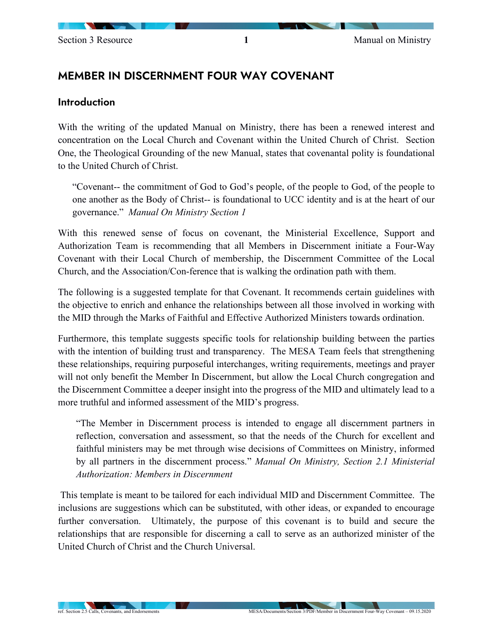# MEMBER IN DISCERNMENT FOUR WAY COVENANT

#### **Introduction**

With the writing of the updated Manual on Ministry, there has been a renewed interest and concentration on the Local Church and Covenant within the United Church of Christ. Section One, the Theological Grounding of the new Manual, states that covenantal polity is foundational to the United Church of Christ.

"Covenant-- the commitment of God to God's people, of the people to God, of the people to one another as the Body of Christ-- is foundational to UCC identity and is at the heart of our governance." *Manual On Ministry Section 1*

With this renewed sense of focus on covenant, the Ministerial Excellence, Support and Authorization Team is recommending that all Members in Discernment initiate a Four-Way Covenant with their Local Church of membership, the Discernment Committee of the Local Church, and the Association/Con-ference that is walking the ordination path with them.

The following is a suggested template for that Covenant. It recommends certain guidelines with the objective to enrich and enhance the relationships between all those involved in working with the MID through the Marks of Faithful and Effective Authorized Ministers towards ordination.

Furthermore, this template suggests specific tools for relationship building between the parties with the intention of building trust and transparency. The MESA Team feels that strengthening these relationships, requiring purposeful interchanges, writing requirements, meetings and prayer will not only benefit the Member In Discernment, but allow the Local Church congregation and the Discernment Committee a deeper insight into the progress of the MID and ultimately lead to a more truthful and informed assessment of the MID's progress.

"The Member in Discernment process is intended to engage all discernment partners in reflection, conversation and assessment, so that the needs of the Church for excellent and faithful ministers may be met through wise decisions of Committees on Ministry, informed by all partners in the discernment process." *Manual On Ministry, Section 2.1 Ministerial Authorization: Members in Discernment*

This template is meant to be tailored for each individual MID and Discernment Committee. The inclusions are suggestions which can be substituted, with other ideas, or expanded to encourage further conversation. Ultimately, the purpose of this covenant is to build and secure the relationships that are responsible for discerning a call to serve as an authorized minister of the United Church of Christ and the Church Universal.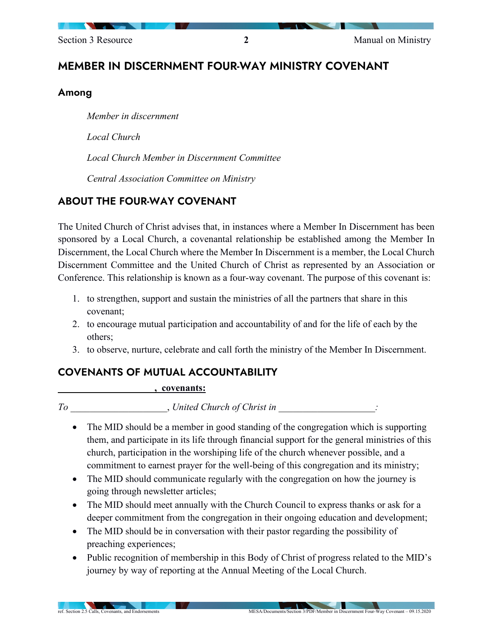# MEMBER IN DISCERNMENT FOUR-WAY MINISTRY COVENANT

### Among

*Member in discernment*

*Local Church* 

*Local Church Member in Discernment Committee*

*Central Association Committee on Ministry*

# ABOUT THE FOUR-WAY COVENANT

The United Church of Christ advises that, in instances where a Member In Discernment has been sponsored by a Local Church, a covenantal relationship be established among the Member In Discernment, the Local Church where the Member In Discernment is a member, the Local Church Discernment Committee and the United Church of Christ as represented by an Association or Conference. This relationship is known as a four-way covenant. The purpose of this covenant is:

- 1. to strengthen, support and sustain the ministries of all the partners that share in this covenant;
- 2. to encourage mutual participation and accountability of and for the life of each by the others;
- 3. to observe, nurture, celebrate and call forth the ministry of the Member In Discernment.

## COVENANTS OF MUTUAL ACCOUNTABILITY

#### **\_\_\_\_\_\_\_\_\_\_\_\_\_\_\_\_\_\_\_\_, covenants:**

*To* \_\_\_\_\_\_\_\_\_\_\_\_\_\_\_\_\_\_\_\_, *United Church of Christ in* \_\_\_\_\_\_\_\_\_\_\_\_\_\_\_\_\_\_\_\_*:*

- The MID should be a member in good standing of the congregation which is supporting them, and participate in its life through financial support for the general ministries of this church, participation in the worshiping life of the church whenever possible, and a commitment to earnest prayer for the well-being of this congregation and its ministry;
- The MID should communicate regularly with the congregation on how the journey is going through newsletter articles;
- The MID should meet annually with the Church Council to express thanks or ask for a deeper commitment from the congregation in their ongoing education and development;
- The MID should be in conversation with their pastor regarding the possibility of preaching experiences;
- Public recognition of membership in this Body of Christ of progress related to the MID's journey by way of reporting at the Annual Meeting of the Local Church.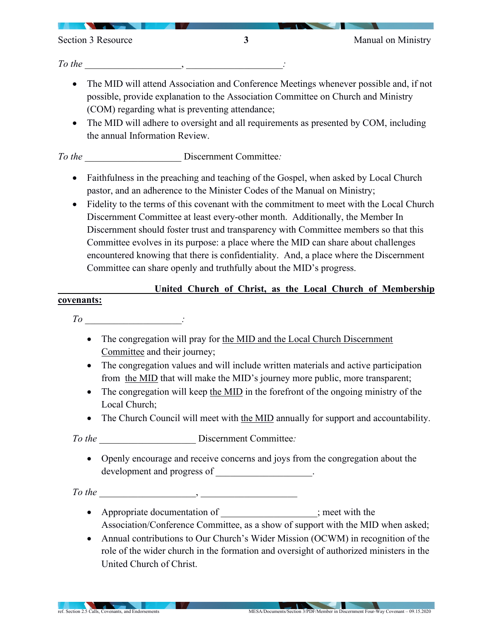Section 3 Resource 3<br>
3

*To the* 

- The MID will attend Association and Conference Meetings whenever possible and, if not possible, provide explanation to the Association Committee on Church and Ministry (COM) regarding what is preventing attendance;
- The MID will adhere to oversight and all requirements as presented by COM, including the annual Information Review.

*To the* **Discernment Committee**:

- Faithfulness in the preaching and teaching of the Gospel, when asked by Local Church pastor, and an adherence to the Minister Codes of the Manual on Ministry;
- Fidelity to the terms of this covenant with the commitment to meet with the Local Church Discernment Committee at least every-other month. Additionally, the Member In Discernment should foster trust and transparency with Committee members so that this Committee evolves in its purpose: a place where the MID can share about challenges encountered knowing that there is confidentiality. And, a place where the Discernment Committee can share openly and truthfully about the MID's progress.

### United Church of Christ, as the Local Church of Membership

#### **covenants:**

*To* \_\_\_\_\_\_\_\_\_\_\_\_\_\_\_\_\_\_\_\_*:*

- The congregation will pray for the MID and the Local Church Discernment Committee and their journey;
- The congregation values and will include written materials and active participation from the MID that will make the MID's journey more public, more transparent;
- The congregation will keep the MID in the forefront of the ongoing ministry of the Local Church;
- The Church Council will meet with the MID annually for support and accountability.

*To the* \_\_\_\_\_\_\_\_\_\_\_\_\_\_\_\_\_\_\_\_ Discernment Committee*:*

• Openly encourage and receive concerns and joys from the congregation about the development and progress of  $\cdot$ 

*To the* \_\_\_\_\_\_\_\_\_\_\_\_\_\_\_\_\_\_\_\_, \_\_\_\_\_\_\_\_\_\_\_\_\_\_\_\_\_\_\_\_

- Appropriate documentation of \_\_\_\_\_\_\_\_\_\_\_\_\_\_\_\_\_\_\_\_; meet with the Association/Conference Committee, as a show of support with the MID when asked;
- Annual contributions to Our Church's Wider Mission (OCWM) in recognition of the role of the wider church in the formation and oversight of authorized ministers in the United Church of Christ.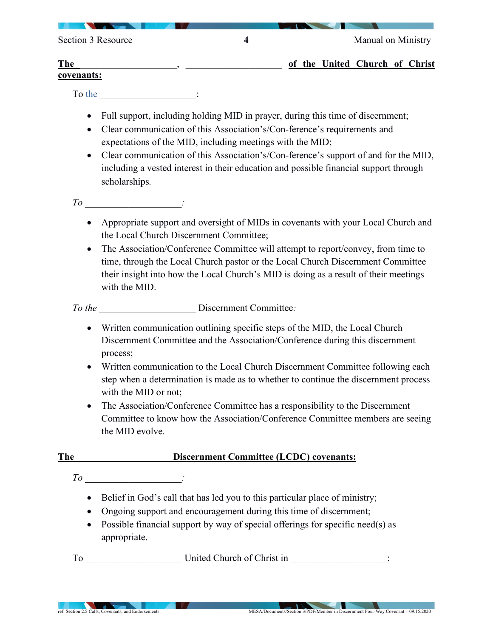| Section 3 Resource       |  | Manual on Ministry |  |                                |  |  |
|--------------------------|--|--------------------|--|--------------------------------|--|--|
| <b>The</b><br>covenants: |  |                    |  | of the United Church of Christ |  |  |

To the  $\qquad \qquad :$ 

- Full support, including holding MID in prayer, during this time of discernment;
- Clear communication of this Association's/Con-ference's requirements and expectations of the MID, including meetings with the MID;
- Clear communication of this Association's/Con-ference's support of and for the MID, including a vested interest in their education and possible financial support through scholarships.
- *To* \_\_\_\_\_\_\_\_\_\_\_\_\_\_\_\_\_\_\_\_*:*
	- Appropriate support and oversight of MIDs in covenants with your Local Church and the Local Church Discernment Committee;
	- The Association/Conference Committee will attempt to report/convey, from time to time, through the Local Church pastor or the Local Church Discernment Committee their insight into how the Local Church's MID is doing as a result of their meetings with the MID.

*To the* \_\_\_\_\_\_\_\_\_\_\_\_\_\_\_\_\_\_\_\_ Discernment Committee*:* 

- Written communication outlining specific steps of the MID, the Local Church Discernment Committee and the Association/Conference during this discernment process;
- Written communication to the Local Church Discernment Committee following each step when a determination is made as to whether to continue the discernment process with the MID or not;
- The Association/Conference Committee has a responsibility to the Discernment Committee to know how the Association/Conference Committee members are seeing the MID evolve.

### **The** \_\_\_\_\_\_\_\_\_\_\_\_\_\_\_\_\_\_\_\_**Discernment Committee (LCDC) covenants:**

*To* \_\_\_\_\_\_\_\_\_\_\_\_\_\_\_\_\_\_\_\_*:*

- Belief in God's call that has led you to this particular place of ministry;
- Ongoing support and encouragement during this time of discernment;
- Possible financial support by way of special offerings for specific need(s) as appropriate.

To United Church of Christ in  $\Box$